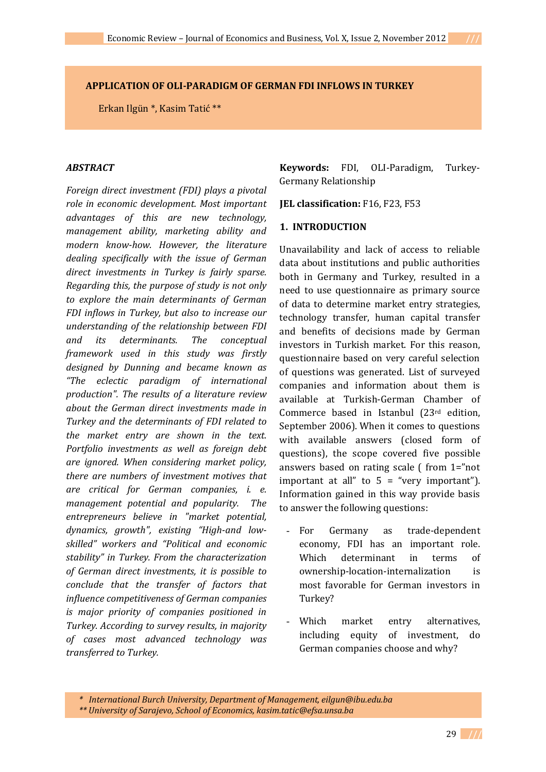#### **APPLICATION OF OLI-PARADIGM OF GERMAN FDI INFLOWS IN TURKEY**

Erkan Ilgün \*, Kasim Tatić \*\*

#### *ABSTRACT*

*Foreign direct investment (FDI) plays a pivotal role in economic development. Most important advantages of this are new technology, management ability, marketing ability and modern know-how. However, the literature dealing specifically with the issue of German direct investments in Turkey is fairly sparse. Regarding this, the purpose of study is not only to explore the main determinants of German FDI inflows in Turkey, but also to increase our understanding of the relationship between FDI and its determinants. The conceptual framework used in this study was firstly designed by Dunning and became known as "The eclectic paradigm of international production". The results of a literature review about the German direct investments made in Turkey and the determinants of FDI related to the market entry are shown in the text. Portfolio investments as well as foreign debt are ignored. When considering market policy, there are numbers of investment motives that are critical for German companies, i. e. management potential and popularity. The entrepreneurs believe in "market potential, dynamics, growth", existing "High-and lowskilled" workers and "Political and economic stability" in Turkey. From the characterization of German direct investments, it is possible to conclude that the transfer of factors that influence competitiveness of German companies is major priority of companies positioned in Turkey. According to survey results, in majority of cases most advanced technology was transferred to Turkey.*

**Keywords:** FDI, OLI-Paradigm, Turkey-Germany Relationship

**JEL classification:** F16, F23, F53

#### **1. INTRODUCTION**

Unavailability and lack of access to reliable data about institutions and public authorities both in Germany and Turkey, resulted in a need to use questionnaire as primary source of data to determine market entry strategies, technology transfer, human capital transfer and benefits of decisions made by German investors in Turkish market. For this reason, questionnaire based on very careful selection of questions was generated. List of surveyed companies and information about them is available at Turkish-German Chamber of Commerce based in Istanbul (23rd edition, September 2006). When it comes to questions with available answers (closed form of questions), the scope covered five possible answers based on rating scale ( from 1="not important at all" to  $5 =$  "very important"). Information gained in this way provide basis to answer the following questions:

- For Germany as trade-dependent economy, FDI has an important role. Which determinant in terms of ownership-location-internalization is most favorable for German investors in Turkey?
- Which market entry alternatives, including equity of investment, do German companies choose and why?

*\* International Burch University, Department of Management, eilgun@ibu.edu.ba*

*<sup>\*\*</sup> University of Sarajevo, School of Economics, kasim.tatic@efsa.unsa.ba*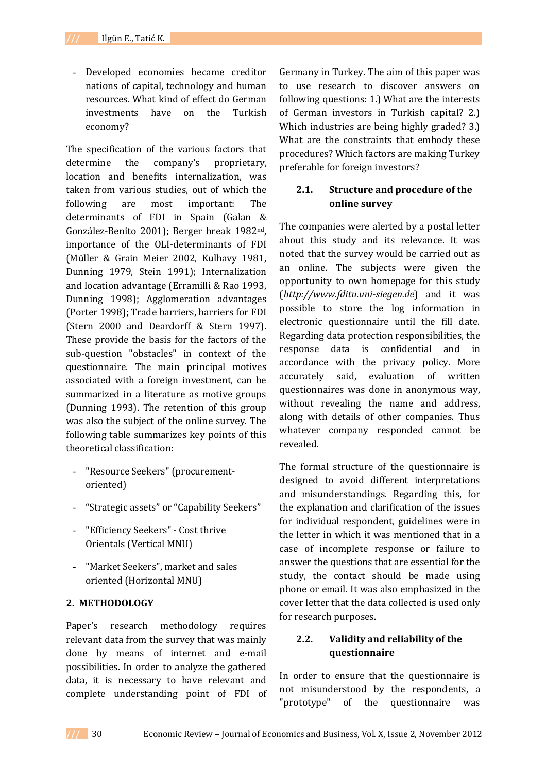- Developed economies became creditor nations of capital, technology and human resources. What kind of effect do German investments have on the Turkish economy?

The specification of the various factors that determine the company's proprietary, location and benefits internalization, was taken from various studies, out of which the following are most important: The determinants of FDI in Spain (Galan & González-Benito 2001); Berger break 1982nd, importance of the OLI-determinants of FDI (Müller & Grain Meier 2002, Kulhavy 1981, Dunning 1979, Stein 1991); Internalization and location advantage (Erramilli & Rao 1993, Dunning 1998); Agglomeration advantages (Porter 1998); Trade barriers, barriers for FDI (Stern 2000 and Deardorff & Stern 1997). These provide the basis for the factors of the sub-question "obstacles" in context of the questionnaire. The main principal motives associated with a foreign investment, can be summarized in a literature as motive groups (Dunning 1993). The retention of this group was also the subject of the online survey. The following table summarizes key points of this theoretical classification:

- "Resource Seekers" (procurementoriented)
- "Strategic assets" or "Capability Seekers"
- "Efficiency Seekers" Cost thrive Orientals (Vertical MNU)
- "Market Seekers", market and sales oriented (Horizontal MNU)

#### **2. METHODOLOGY**

Paper's research methodology requires relevant data from the survey that was mainly done by means of internet and e-mail possibilities. In order to analyze the gathered data, it is necessary to have relevant and complete understanding point of FDI of

Germany in Turkey. The aim of this paper was to use research to discover answers on following questions: 1.) What are the interests of German investors in Turkish capital? 2.) Which industries are being highly graded? 3.) What are the constraints that embody these procedures? Which factors are making Turkey preferable for foreign investors?

## **2.1. Structure and procedure of the online survey**

The companies were alerted by a postal letter about this study and its relevance. It was noted that the survey would be carried out as an online. The subjects were given the opportunity to own homepage for this study (*http://www.fditu.uni-siegen.de*) and it was possible to store the log information in electronic questionnaire until the fill date. Regarding data protection responsibilities, the response data is confidential and in accordance with the privacy policy. More accurately said, evaluation of written questionnaires was done in anonymous way, without revealing the name and address, along with details of other companies. Thus whatever company responded cannot be revealed.

The formal structure of the questionnaire is designed to avoid different interpretations and misunderstandings. Regarding this, for the explanation and clarification of the issues for individual respondent, guidelines were in the letter in which it was mentioned that in a case of incomplete response or failure to answer the questions that are essential for the study, the contact should be made using phone or email. It was also emphasized in the cover letter that the data collected is used only for research purposes.

## **2.2. Validity and reliability of the questionnaire**

In order to ensure that the questionnaire is not misunderstood by the respondents, a "prototype" of the questionnaire was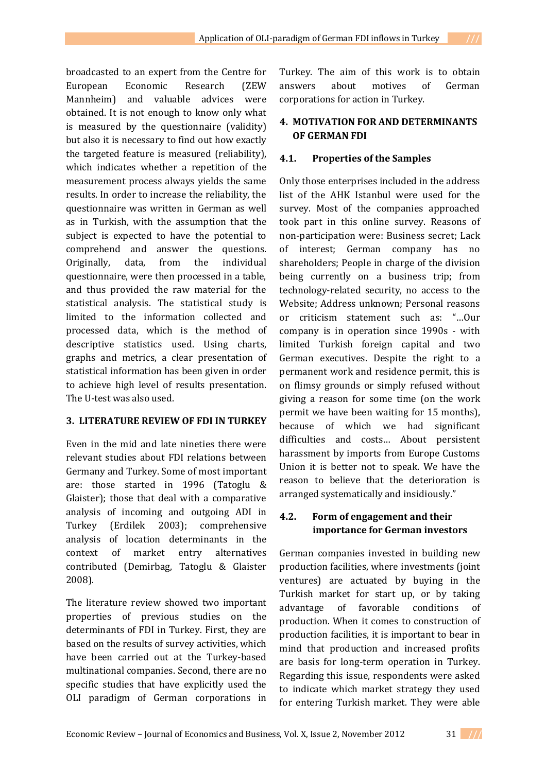broadcasted to an expert from the Centre for European Economic Research (ZEW Mannheim) and valuable advices were obtained. It is not enough to know only what is measured by the questionnaire (validity) but also it is necessary to find out how exactly the targeted feature is measured (reliability), which indicates whether a repetition of the measurement process always yields the same results. In order to increase the reliability, the questionnaire was written in German as well as in Turkish, with the assumption that the subject is expected to have the potential to comprehend and answer the questions. Originally, data, from the individual questionnaire, were then processed in a table, and thus provided the raw material for the statistical analysis. The statistical study is limited to the information collected and processed data, which is the method of descriptive statistics used. Using charts, graphs and metrics, a clear presentation of statistical information has been given in order to achieve high level of results presentation. The U-test was also used.

#### **3. LITERATURE REVIEW OF FDI IN TURKEY**

Even in the mid and late nineties there were relevant studies about FDI relations between Germany and Turkey. Some of most important are: those started in 1996 (Tatoglu & Glaister); those that deal with a comparative analysis of incoming and outgoing ADI in Turkey (Erdilek 2003); comprehensive analysis of location determinants in the context of market entry alternatives contributed (Demirbag, Tatoglu & Glaister 2008).

The literature review showed two important properties of previous studies on the determinants of FDI in Turkey. First, they are based on the results of survey activities, which have been carried out at the Turkey-based multinational companies. Second, there are no specific studies that have explicitly used the OLI paradigm of German corporations in

Turkey. The aim of this work is to obtain answers about motives of German corporations for action in Turkey.

#### **4. MOTIVATION FOR AND DETERMINANTS OF GERMAN FDI**

#### **4.1. Properties of the Samples**

Only those enterprises included in the address list of the AHK Istanbul were used for the survey. Most of the companies approached took part in this online survey. Reasons of non-participation were: Business secret; Lack of interest; German company has no shareholders; People in charge of the division being currently on a business trip; from technology-related security, no access to the Website; Address unknown; Personal reasons or criticism statement such as: "…Our company is in operation since 1990s - with limited Turkish foreign capital and two German executives. Despite the right to a permanent work and residence permit, this is on flimsy grounds or simply refused without giving a reason for some time (on the work permit we have been waiting for 15 months), because of which we had significant difficulties and costs… About persistent harassment by imports from Europe Customs Union it is better not to speak. We have the reason to believe that the deterioration is arranged systematically and insidiously."

## **4.2. Form of engagement and their importance for German investors**

German companies invested in building new production facilities, where investments (joint ventures) are actuated by buying in the Turkish market for start up, or by taking advantage of favorable conditions of production. When it comes to construction of production facilities, it is important to bear in mind that production and increased profits are basis for long-term operation in Turkey. Regarding this issue, respondents were asked to indicate which market strategy they used for entering Turkish market. They were able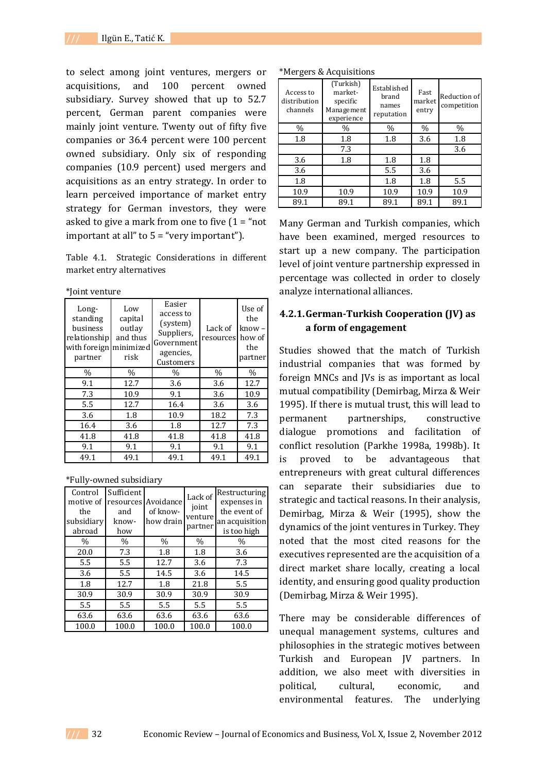to select among joint ventures, mergers or acquisitions, and 100 percent owned subsidiary. Survey showed that up to 52.7 percent, German parent companies were mainly joint venture. Twenty out of fifty five companies or 36.4 percent were 100 percent owned subsidiary. Only six of responding companies (10.9 percent) used mergers and acquisitions as an entry strategy. In order to learn perceived importance of market entry strategy for German investors, they were asked to give a mark from one to five  $(1 = "not$ important at all" to 5 = "very important").

Table 4.1. Strategic Considerations in different market entry alternatives

|  | *Joint venture |
|--|----------------|
|  |                |

| Long-<br>standing<br>business<br>relationship<br>with foreign<br>partner | Low<br>capital<br>outlay<br>and thus<br>minimized<br>risk | Easier<br>access to<br>(system)<br>Suppliers,<br>Government<br>agencies,<br>Customers | Lack of<br>resources | Use of<br>the<br>$know -$<br>how of<br>the<br>partner |
|--------------------------------------------------------------------------|-----------------------------------------------------------|---------------------------------------------------------------------------------------|----------------------|-------------------------------------------------------|
| $\%$                                                                     | $\%$                                                      | $\%$                                                                                  | $\%$                 | $\%$                                                  |
| 9.1                                                                      | 12.7                                                      | 3.6                                                                                   | 3.6                  | 12.7                                                  |
| 7.3                                                                      | 10.9                                                      | 9.1                                                                                   | 3.6                  | 10.9                                                  |
| 5.5                                                                      | 12.7                                                      | 16.4                                                                                  | 3.6                  | 3.6                                                   |
| 3.6                                                                      | 1.8                                                       | 10.9                                                                                  | 18.2                 | 7.3                                                   |
| 16.4                                                                     | 3.6                                                       | 1.8                                                                                   | 12.7                 | 7.3                                                   |
| 41.8                                                                     | 41.8                                                      | 41.8                                                                                  | 41.8                 | 41.8                                                  |
| 9.1                                                                      | 9.1                                                       | 9.1                                                                                   | 9.1                  | 9.1                                                   |
| 49.1                                                                     | 49.1                                                      | 49.1                                                                                  | 49.1                 | 49.1                                                  |

\*Fully-owned subsidiary

| Control<br>motive of<br>the<br>subsidiary<br>abroad | Sufficient<br>resources<br>and<br>know-<br>how | Avoidance<br>of know-<br>how drain | Lack of<br>joint<br>venture<br>partner | Restructuring<br>expenses in<br>the event of<br>an acquisition<br>is too high |
|-----------------------------------------------------|------------------------------------------------|------------------------------------|----------------------------------------|-------------------------------------------------------------------------------|
| $\%$                                                | $\%$                                           | $\%$                               | $\%$                                   | $\%$                                                                          |
| 20.0                                                | 7.3                                            | 1.8                                | 1.8                                    | 3.6                                                                           |
| 5.5                                                 | 5.5                                            | 12.7                               | 3.6                                    | 7.3                                                                           |
| 3.6                                                 | 5.5                                            | 14.5                               | 3.6                                    | 14.5                                                                          |
| 1.8                                                 | 12.7                                           | 1.8                                | 21.8                                   | 5.5                                                                           |
| 30.9                                                | 30.9                                           | 30.9                               | 30.9                                   | 30.9                                                                          |
| 5.5                                                 | 5.5                                            | 5.5                                | 5.5                                    | 5.5                                                                           |
| 63.6                                                | 63.6                                           | 63.6                               | 63.6                                   | 63.6                                                                          |
| 100.0                                               | 100.0                                          | 100.0                              | 100.0                                  | 100.0                                                                         |

| Access to<br>distribution<br>channels | (Turkish)<br>market-<br>specific<br>Management<br>experience | Established<br>brand<br>names<br>reputation | Fast<br>market<br>entry | Reduction of<br>competition |
|---------------------------------------|--------------------------------------------------------------|---------------------------------------------|-------------------------|-----------------------------|
| $\%$                                  | $\frac{0}{0}$                                                | $\frac{0}{0}$                               | $\%$                    | $\frac{0}{0}$               |
| 1.8                                   | 1.8                                                          | 1.8                                         | 3.6                     | 1.8                         |
|                                       | 7.3                                                          |                                             |                         | 3.6                         |
| 3.6                                   | 1.8                                                          | 1.8                                         | 1.8                     |                             |
| 3.6                                   |                                                              | 5.5                                         | 3.6                     |                             |
| 1.8                                   |                                                              | 1.8                                         | 1.8                     | 5.5                         |
| 10.9                                  | 10.9                                                         | 10.9                                        | 10.9                    | 10.9                        |
| 89.1                                  | 89.1                                                         | 89.1                                        | 89.1                    | 89.1                        |

Many German and Turkish companies, which have been examined, merged resources to start up a new company. The participation level of joint venture partnership expressed in percentage was collected in order to closely analyze international alliances.

## **4.2.1.German-Turkish Cooperation (JV) as a form of engagement**

Studies showed that the match of Turkish industrial companies that was formed by foreign MNCs and JVs is as important as local mutual compatibility (Demirbag, Mirza & Weir 1995). If there is mutual trust, this will lead to permanent partnerships, constructive dialogue promotions and facilitation of conflict resolution (Parkhe 1998a, 1998b). It is proved to be advantageous that entrepreneurs with great cultural differences can separate their subsidiaries due to strategic and tactical reasons. In their analysis, Demirbag, Mirza & Weir (1995), show the dynamics of the joint ventures in Turkey. They noted that the most cited reasons for the executives represented are the acquisition of a direct market share locally, creating a local identity, and ensuring good quality production (Demirbag, Mirza & Weir 1995).

There may be considerable differences of unequal management systems, cultures and philosophies in the strategic motives between Turkish and European JV partners. In addition, we also meet with diversities in political, cultural, economic, and environmental features. The underlying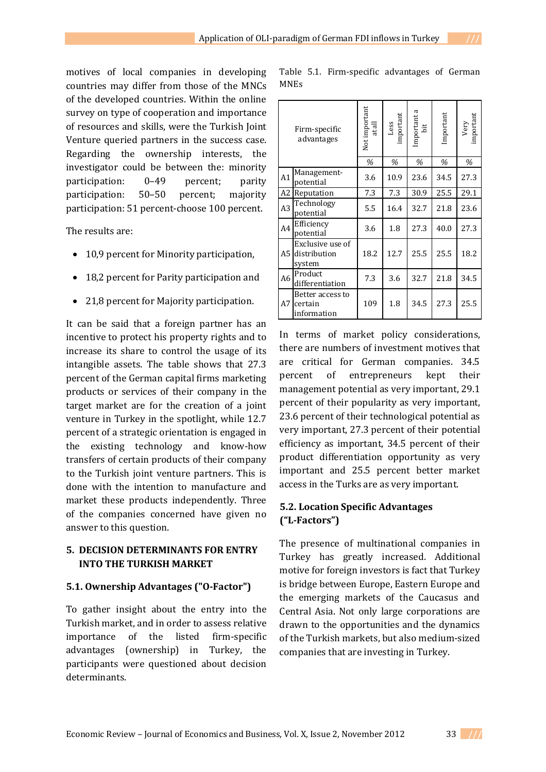motives of local companies in developing countries may differ from those of the MNCs of the developed countries. Within the online survey on type of cooperation and importance of resources and skills, were the Turkish Joint Venture queried partners in the success case. Regarding the ownership interests, the investigator could be between the: minority participation: 0–49 percent; parity participation: 50–50 percent; majority participation: 51 percent-choose 100 percent.

The results are:

- 10,9 percent for Minority participation,
- 18,2 percent for Parity participation and
- 21,8 percent for Majority participation.

It can be said that a foreign partner has an incentive to protect his property rights and to increase its share to control the usage of its intangible assets. The table shows that 27.3 percent of the German capital firms marketing products or services of their company in the target market are for the creation of a joint venture in Turkey in the spotlight, while 12.7 percent of a strategic orientation is engaged in the existing technology and know-how transfers of certain products of their company to the Turkish joint venture partners. This is done with the intention to manufacture and market these products independently. Three of the companies concerned have given no answer to this question.

## **5. DECISION DETERMINANTS FOR ENTRY INTO THE TURKISH MARKET**

#### **5.1. Ownership Advantages ("O-Factor")**

To gather insight about the entry into the Turkish market, and in order to assess relative importance of the listed firm-specific advantages (ownership) in Turkey, the participants were questioned about decision determinants.

Table 5.1. Firm-specific advantages of German MNEs

|                | Firm-specific<br>advantages                | Not important<br>at all | Less<br>important | Important a<br>bit | Important | Very<br>important |
|----------------|--------------------------------------------|-------------------------|-------------------|--------------------|-----------|-------------------|
|                |                                            | %                       | %                 | %                  | %         | %                 |
| A1             | Management-<br>potential                   | 3.6                     | 10.9              | 23.6               | 34.5      | 27.3              |
| A2             | Reputation                                 | 7.3                     | 7.3               | 30.9               | 25.5      | 29.1              |
| A <sub>3</sub> | Technology<br>potential                    | 5.5                     | 16.4              | 32.7               | 21.8      | 23.6              |
| A4             | Efficiency<br>potential                    | 3.6                     | 1.8               | 27.3               | 40.0      | 27.3              |
| A <sub>5</sub> | Exclusive use of<br>distribution<br>system | 18.2                    | 12.7              | 25.5               | 25.5      | 18.2              |
| A <sub>6</sub> | Product<br>differentiation                 | 7.3                     | 3.6               | 32.7               | 21.8      | 34.5              |
| A7             | Better access to<br>certain<br>information | 109                     | 1.8               | 34.5               | 27.3      | 25.5              |

In terms of market policy considerations, there are numbers of investment motives that are critical for German companies. 34.5 percent of entrepreneurs kept their management potential as very important, 29.1 percent of their popularity as very important, 23.6 percent of their technological potential as very important, 27.3 percent of their potential efficiency as important, 34.5 percent of their product differentiation opportunity as very important and 25.5 percent better market access in the Turks are as very important.

## **5.2. Location Specific Advantages ("L-Factors")**

The presence of multinational companies in Turkey has greatly increased. Additional motive for foreign investors is fact that Turkey is bridge between Europe, Eastern Europe and the emerging markets of the Caucasus and Central Asia. Not only large corporations are drawn to the opportunities and the dynamics of the Turkish markets, but also medium-sized companies that are investing in Turkey.

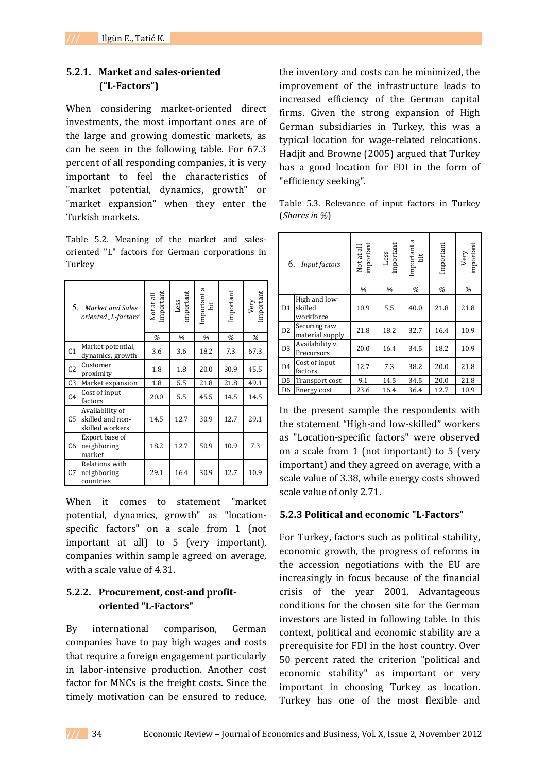## **5.2.1. Market and sales-oriented ("L-Factors")**

When considering market-oriented direct investments, the most important ones are of the large and growing domestic markets, as can be seen in the following table. For 67.3 percent of all responding companies, it is very important to feel the characteristics of "market potential, dynamics, growth" or "market expansion" when they enter the Turkish markets.

Table 5.2. Meaning of the market and salesoriented "L" factors for German corporations in Turkey

| 5.             | Market and Sales<br>oriented "L-factors"               | Not at all<br>important<br>% | Less<br>important<br>% | Important a<br>bit<br>% | Important<br>% | Very<br>important<br>% |
|----------------|--------------------------------------------------------|------------------------------|------------------------|-------------------------|----------------|------------------------|
|                | Market potential,                                      |                              |                        |                         |                |                        |
| C <sub>1</sub> | dynamics, growth                                       | 3.6                          | 3.6                    | 18.2                    | 7.3            | 67.3                   |
| C <sub>2</sub> | Customer<br>proximity                                  | 1.8                          | 1.8                    | 20.0                    | 30.9           | 45.5                   |
| C <sub>3</sub> | Market expansion                                       | 1.8                          | 5.5                    | 21.8                    | 21.8           | 49.1                   |
| C <sub>4</sub> | Cost of input<br>factors                               | 20.0                         | 5.5                    | 45.5                    | 14.5           | 14.5                   |
| C <sub>5</sub> | Availability of<br>skilled and non-<br>skilled workers | 14.5                         | 12.7                   | 30.9                    | 12.7           | 29.1                   |
| C6             | Export base of<br>neighboring<br>market                | 18.2                         | 12.7                   | 50.9                    | 10.9           | 7.3                    |
| C <sub>7</sub> | Relations with<br>neighboring<br>countries             | 29.1                         | 16.4                   | 30.9                    | 12.7           | 10.9                   |

When it comes to statement "market potential, dynamics, growth" as "locationspecific factors" on a scale from 1 (not important at all) to 5 (very important), companies within sample agreed on average, with a scale value of 4.31.

## **5.2.2. Procurement, cost-and profitoriented "L-Factors"**

By international comparison, German companies have to pay high wages and costs that require a foreign engagement particularly in labor-intensive production. Another cost factor for MNCs is the freight costs. Since the timely motivation can be ensured to reduce,

the inventory and costs can be minimized, the improvement of the infrastructure leads to increased efficiency of the German capital firms. Given the strong expansion of High German subsidiaries in Turkey, this was a typical location for wage-related relocations. Hadjit and Browne (2005) argued that Turkey has a good location for FDI in the form of "efficiency seeking".

Table 5.3. Relevance of input factors in Turkey (*Shares in %*)

| 6.<br>Input factors |                                      | important<br>Not at all | important<br>Less | Important a<br>bit | Important | Very<br>important |
|---------------------|--------------------------------------|-------------------------|-------------------|--------------------|-----------|-------------------|
|                     |                                      | %                       | %                 | %                  | %         | %                 |
| D <sub>1</sub>      | High and low<br>skilled<br>workforce | 10.9                    | 5.5               | 40.0               | 21.8      | 21.8              |
| D <sub>2</sub>      | Securing raw<br>material supply      | 21.8                    | 18.2              | 32.7               | 16.4      | 10.9              |
| D <sub>3</sub>      | Availability v.<br>Precursors        | 20.0                    | 16.4              | 34.5               | 18.2      | 10.9              |
| D <sub>4</sub>      | Cost of input<br>factors             | 12.7                    | 7.3               | 38.2               | 20.0      | 21.8              |
| D <sub>5</sub>      | Transport cost                       | 9.1                     | 14.5              | 34.5               | 20.0      | 21.8              |
| D <sub>6</sub>      | Energy cost                          | 23.6                    | 16.4              | 36.4               | 12.7      | 10.9              |

In the present sample the respondents with the statement "High-and low-skilled" workers as "Location-specific factors" were observed on a scale from 1 (not important) to 5 (very important) and they agreed on average, with a scale value of 3.38, while energy costs showed scale value of only 2.71.

#### **5.2.3 Political and economic "L-Factors"**

For Turkey, factors such as political stability, economic growth, the progress of reforms in the accession negotiations with the EU are increasingly in focus because of the financial crisis of the year 2001. Advantageous conditions for the chosen site for the German investors are listed in following table. In this context, political and economic stability are a prerequisite for FDI in the host country. Over 50 percent rated the criterion "political and economic stability" as important or very important in choosing Turkey as location. Turkey has one of the most flexible and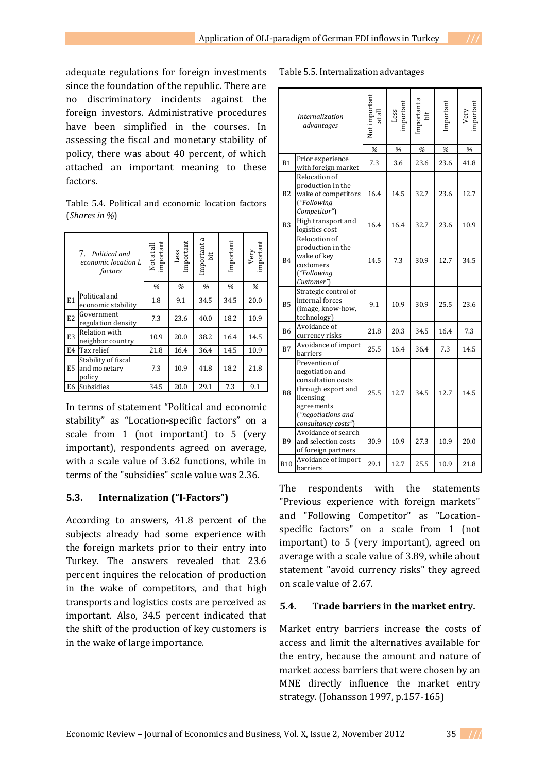adequate regulations for foreign investments since the foundation of the republic. There are no discriminatory incidents against the foreign investors. Administrative procedures have been simplified in the courses. In assessing the fiscal and monetary stability of policy, there was about 40 percent, of which attached an important meaning to these factors.

Table 5.4. Political and economic location factors (*Shares in %*)

|                | 7.<br>Political and<br>economic location L<br>factors | Not at all<br>important | Less<br>important | Important a<br>bit | Important | Very<br>important |
|----------------|-------------------------------------------------------|-------------------------|-------------------|--------------------|-----------|-------------------|
|                |                                                       | %                       | %                 | %                  | %         | %                 |
| E1             | Political and<br>economic stability                   | 1.8                     | 9.1               | 34.5               | 34.5      | 20.0              |
| E <sub>2</sub> | Government<br>regulation density                      | 7.3                     | 23.6              | 40.0               | 18.2      | 10.9              |
| E <sub>3</sub> | Relation with<br>neighbor country                     | 10.9                    | 20.0              | 38.2               | 16.4      | 14.5              |
| E <sub>4</sub> | Tax relief                                            | 21.8                    | 16.4              | 36.4               | 14.5      | 10.9              |
| E5             | Stability of fiscal<br>and monetary<br>policy         | 7.3                     | 10.9              | 41.8               | 18.2      | 21.8              |
| E6             | Subsidies                                             | 34.5                    | 20.0              | 29.1               | 7.3       | 9.1               |

In terms of statement "Political and economic stability" as "Location-specific factors" on a scale from 1 (not important) to 5 (very important), respondents agreed on average, with a scale value of 3.62 functions, while in terms of the "subsidies" scale value was 2.36.

## **5.3. Internalization ("I-Factors")**

According to answers, 41.8 percent of the subjects already had some experience with the foreign markets prior to their entry into Turkey. The answers revealed that 23.6 percent inquires the relocation of production in the wake of competitors, and that high transports and logistics costs are perceived as important. Also, 34.5 percent indicated that the shift of the production of key customers is in the wake of large importance.

Table 5.5. Internalization advantages

|                | Internalization<br>advantages                                                                                                                        | Not important<br>at al | mportan<br>Less | Important a<br>bit | Important | mportan<br>Very |
|----------------|------------------------------------------------------------------------------------------------------------------------------------------------------|------------------------|-----------------|--------------------|-----------|-----------------|
|                |                                                                                                                                                      | $\%$                   | $\%$            | %                  | %         | $\%$            |
| B1             | Prior experience<br>with foreign market                                                                                                              | 7.3                    | 3.6             | 23.6               | 23.6      | 41.8            |
| B <sub>2</sub> | Relocation of<br>production in the<br>wake of competitors<br>("Following<br>Competitor")                                                             | 16.4                   | 14.5            | 32.7               | 23.6      | 12.7            |
| B <sub>3</sub> | High transport and<br>logistics cost                                                                                                                 | 16.4                   | 16.4            | 32.7               | 23.6      | 10.9            |
| <b>B4</b>      | Relocation of<br>production in the<br>wake of key<br>customers<br>("Following<br>Customer")                                                          | 14.5                   | 7.3             | 30.9               | 12.7      | 34.5            |
| <b>B5</b>      | Strategic control of<br>internal forces<br>(image, know-how,<br>technology)                                                                          | 9.1                    | 10.9            | 30.9               | 25.5      | 23.6            |
| <b>B6</b>      | Avoidance of<br>currency risks                                                                                                                       | 21.8                   | 20.3            | 34.5               | 16.4      | 7.3             |
| B7             | Avoidance of import<br>barriers                                                                                                                      | 25.5                   | 16.4            | 36.4               | 7.3       | 14.5            |
| B <sub>8</sub> | Prevention of<br>negotiation and<br>consultation costs<br>through export and<br>licensing<br>agreements<br>("negotiations and<br>consultancy costs") | 25.5                   | 12.7            | 34.5               | 12.7      | 14.5            |
| <b>B9</b>      | Avoidance of search<br>and selection costs<br>of foreign partners                                                                                    | 30.9                   | 10.9            | 27.3               | 10.9      | 20.0            |
| <b>B10</b>     | Avoidance of import<br>barriers                                                                                                                      | 29.1                   | 12.7            | 25.5               | 10.9      | 21.8            |

The respondents with the statements "Previous experience with foreign markets" and "Following Competitor" as "Locationspecific factors" on a scale from 1 (not important) to 5 (very important), agreed on average with a scale value of 3.89, while about statement "avoid currency risks" they agreed on scale value of 2.67.

## **5.4. Trade barriers in the market entry.**

Market entry barriers increase the costs of access and limit the alternatives available for the entry, because the amount and nature of market access barriers that were chosen by an MNE directly influence the market entry strategy. (Johansson 1997, p.157-165)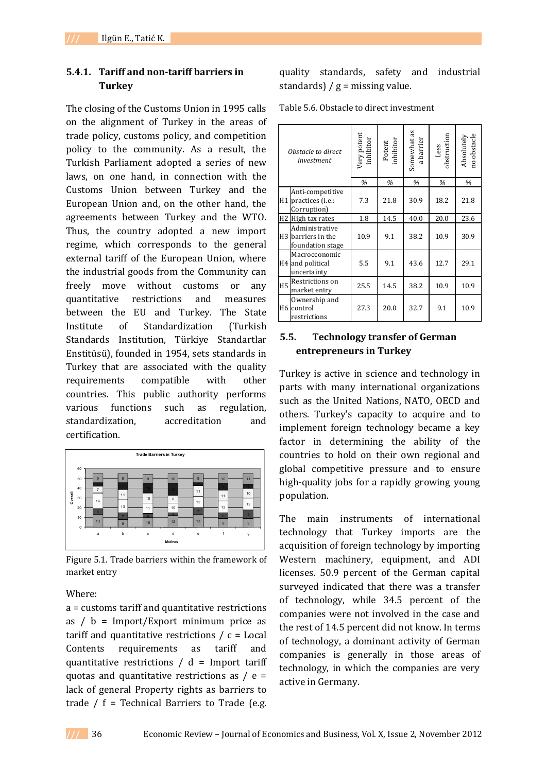## **5.4.1. Tariff and non-tariff barriers in Turkey**

The closing of the Customs Union in 1995 calls on the alignment of Turkey in the areas of trade policy, customs policy, and competition policy to the community. As a result, the Turkish Parliament adopted a series of new laws, on one hand, in connection with the Customs Union between Turkey and the European Union and, on the other hand, the agreements between Turkey and the WTO. Thus, the country adopted a new import regime, which corresponds to the general external tariff of the European Union, where the industrial goods from the Community can freely move without customs or any quantitative restrictions and measures between the EU and Turkey. The State Institute of Standardization (Turkish Standards Institution, Türkiye Standartlar Enstitüsü), founded in 1954, sets standards in Turkey that are associated with the quality requirements compatible with other countries. This public authority performs various functions such as regulation, standardization, accreditation and certification.



Figure 5.1. Trade barriers within the framework of market entry

#### Where:

a = customs tariff and quantitative restrictions as  $\ell$  b = Import/Export minimum price as tariff and quantitative restrictions  $\ell$  c = Local Contents requirements as tariff and quantitative restrictions  $/d =$  Import tariff quotas and quantitative restrictions as  $/ e =$ lack of general Property rights as barriers to trade  $/ f =$  Technical Barriers to Trade (e.g.

quality standards, safety and industrial standards)  $/g =$  missing value.

Table 5.6. Obstacle to direct investment

| Obstacle to direct<br>investment |                                                                      | Very potent<br>inhibitor | Potent<br>inhibitor | Somewhat as<br>a barrier | Less<br>obstruction | no obstacle<br>Absolutely |
|----------------------------------|----------------------------------------------------------------------|--------------------------|---------------------|--------------------------|---------------------|---------------------------|
|                                  |                                                                      | $\%$                     | %                   | %                        | %                   | %                         |
|                                  | Anti-competitive<br>H1 practices (i.e.:<br>Corruption)               | 7.3                      | 21.8                | 30.9                     | 18.2                | 21.8                      |
|                                  | H2 High tax rates                                                    | 1.8                      | 14.5                | 40.0                     | 20.0                | 23.6                      |
|                                  | Administrative<br>H <sub>3</sub> barriers in the<br>foundation stage | 10.9                     | 9.1                 | 38.2                     | 10.9                | 30.9                      |
|                                  | Macroeconomic<br>H4 and political<br>uncertainty                     | 5.5                      | 9.1                 | 43.6                     | 12.7                | 29.1                      |
| H <sub>5</sub>                   | Restrictions on<br>market entry                                      | 25.5                     | 14.5                | 38.2                     | 10.9                | 10.9                      |
|                                  | Ownership and<br>H <sub>6</sub> control<br>restrictions              | 27.3                     | 20.0                | 32.7                     | 9.1                 | 10.9                      |

## **5.5. Technology transfer of German entrepreneurs in Turkey**

Turkey is active in science and technology in parts with many international organizations such as the United Nations, NATO, OECD and others. Turkey's capacity to acquire and to implement foreign technology became a key factor in determining the ability of the countries to hold on their own regional and global competitive pressure and to ensure high-quality jobs for a rapidly growing young population.

The main instruments of international technology that Turkey imports are the acquisition of foreign technology by importing Western machinery, equipment, and ADI licenses. 50.9 percent of the German capital surveyed indicated that there was a transfer of technology, while 34.5 percent of the companies were not involved in the case and the rest of 14.5 percent did not know. In terms of technology, a dominant activity of German companies is generally in those areas of technology, in which the companies are very active in Germany.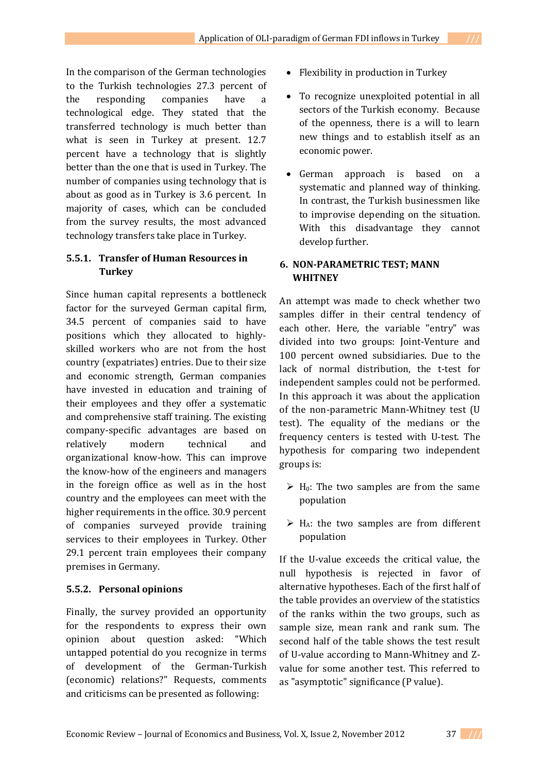In the comparison of the German technologies to the Turkish technologies 27.3 percent of the responding companies have a technological edge. They stated that the transferred technology is much better than what is seen in Turkey at present. 12.7 percent have a technology that is slightly better than the one that is used in Turkey. The number of companies using technology that is about as good as in Turkey is 3.6 percent. In majority of cases, which can be concluded from the survey results, the most advanced technology transfers take place in Turkey.

# **5.5.1. Transfer of Human Resources in Turkey**

Since human capital represents a bottleneck factor for the surveyed German capital firm, 34.5 percent of companies said to have positions which they allocated to highlyskilled workers who are not from the host country (expatriates) entries. Due to their size and economic strength, German companies have invested in education and training of their employees and they offer a systematic and comprehensive staff training. The existing company-specific advantages are based on relatively modern technical and organizational know-how. This can improve the know-how of the engineers and managers in the foreign office as well as in the host country and the employees can meet with the higher requirements in the office. 30.9 percent of companies surveyed provide training services to their employees in Turkey. Other 29.1 percent train employees their company premises in Germany.

# **5.5.2. Personal opinions**

Finally, the survey provided an opportunity for the respondents to express their own opinion about question asked: "Which untapped potential do you recognize in terms of development of the German-Turkish (economic) relations?" Requests, comments and criticisms can be presented as following:

- Flexibility in production in Turkey
- To recognize unexploited potential in all sectors of the Turkish economy. Because of the openness, there is a will to learn new things and to establish itself as an economic power.
- German approach is based on a systematic and planned way of thinking. In contrast, the Turkish businessmen like to improvise depending on the situation. With this disadvantage they cannot develop further.

## **6. NON-PARAMETRIC TEST; MANN WHITNEY**

An attempt was made to check whether two samples differ in their central tendency of each other. Here, the variable "entry" was divided into two groups: Joint-Venture and 100 percent owned subsidiaries. Due to the lack of normal distribution, the t-test for independent samples could not be performed. In this approach it was about the application of the non-parametric Mann-Whitney test (U test). The equality of the medians or the frequency centers is tested with U-test. The hypothesis for comparing two independent groups is:

- $\triangleright$  H<sub>0</sub>: The two samples are from the same population
- $\triangleright$  H<sub>A</sub>: the two samples are from different population

If the U-value exceeds the critical value, the null hypothesis is rejected in favor of alternative hypotheses. Each of the first half of the table provides an overview of the statistics of the ranks within the two groups, such as sample size, mean rank and rank sum. The second half of the table shows the test result of U-value according to Mann-Whitney and Zvalue for some another test. This referred to as "asymptotic" significance (P value).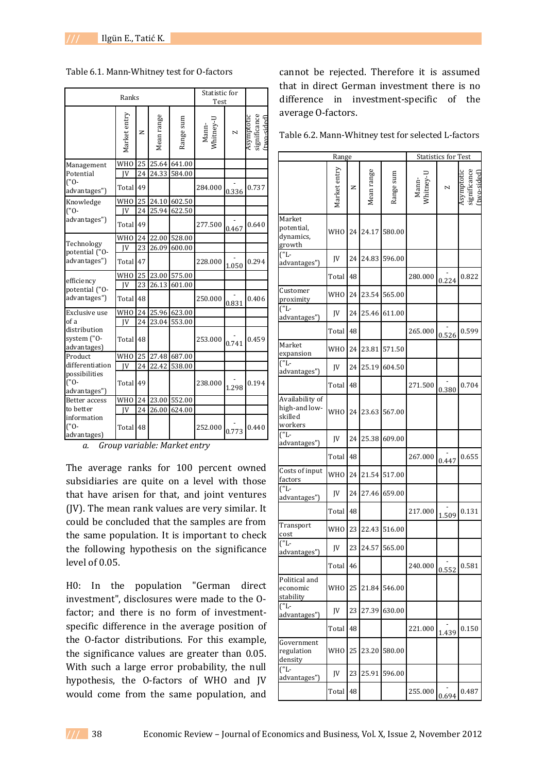|                                            | Statistic for<br>Test |        |            |              |                    |       |                                                       |
|--------------------------------------------|-----------------------|--------|------------|--------------|--------------------|-------|-------------------------------------------------------|
|                                            | Market entry          | $\geq$ | Mean range | Range sum    | Mann-<br>Whitney-U | Z     | Asymptotic<br>significance<br><sub>(two-sided</sub> ) |
| Management                                 | <b>WHO</b>            | 25     |            | 25.64 641.00 |                    |       |                                                       |
| Potential                                  | IV                    | 24     | 24.33      | 584.00       |                    |       |                                                       |
| ("0-<br>advantages")                       | Total                 | 49     |            |              | 284.000            | 0.336 | 0.737                                                 |
| Knowledge                                  | <b>WHO</b>            | 25     | 24.10      | 602.50       |                    |       |                                                       |
| ("0-                                       | IV                    | 24     | 25.94      | 622.50       |                    |       |                                                       |
| advantages")                               | Total                 | 49     |            |              | 277.500            | 0.467 | 0.640                                                 |
|                                            | <b>WHO</b>            | 24     | 22.00      | 528.00       |                    |       |                                                       |
| Technology<br>potential ("O-               | IV                    | 23     | 26.09      | 600.00       |                    |       |                                                       |
| advantages")                               | Total                 | 47     |            |              | 228.000            | 1.050 | 0.294                                                 |
|                                            | <b>WHO</b>            | 25     | 23.00      | 575.00       |                    |       |                                                       |
| efficiency<br>potential ("O-               | IV                    | 23     | 26.13      | 601.00       |                    |       |                                                       |
| advantages")                               | Total                 | 48     |            |              | 250.000            | 0.831 | 0.406                                                 |
| Exclusive use                              | <b>WHO</b>            | 24     |            | 25.96 623.00 |                    |       |                                                       |
| of a                                       | IV                    | 24     |            | 23.04 553.00 |                    |       |                                                       |
| distribution<br>system ("O-<br>advantages) | Total                 | 48     |            |              | 253.000            | 0.741 | 0.459                                                 |
| Product                                    | <b>WHO</b>            | 25     | 27.48      | 687.00       |                    |       |                                                       |
| differentiation                            | IV                    | 24     | 22.42      | 538.00       |                    |       |                                                       |
| possibilities<br>("0-<br>advantages")      | Total                 | 49     |            |              | 238.000            | 1.298 | 0.194                                                 |
| Better access                              | <b>WHO</b>            | 24     | 23.00      | 552.00       |                    |       |                                                       |
| to better                                  | IV                    | 24     | 26.00      | 624.00       |                    |       |                                                       |
| information<br>$(10 -$<br>advantages)      | Total                 | 48     |            |              | 252.000            | 0.773 | 0.440                                                 |

Table 6.1. Mann-Whitney test for O-factors

*a. Group variable: Market entry* 

The average ranks for 100 percent owned subsidiaries are quite on a level with those that have arisen for that, and joint ventures (JV). The mean rank values are very similar. It could be concluded that the samples are from the same population. It is important to check the following hypothesis on the significance level of 0.05.

H0: In the population "German direct investment", disclosures were made to the Ofactor; and there is no form of investmentspecific difference in the average position of the O-factor distributions. For this example, the significance values are greater than 0.05. With such a large error probability, the null hypothesis, the O-factors of WHO and JV would come from the same population, and

cannot be rejected. Therefore it is assumed that in direct German investment there is no difference in investment-specific of the average O-factors.

| Table 6.2. Mann-Whitney test for selected L-factors |  |
|-----------------------------------------------------|--|
|-----------------------------------------------------|--|

|                                                        | Range           |    |            |           | <b>Statistics for Test</b> |       |                                           |  |
|--------------------------------------------------------|-----------------|----|------------|-----------|----------------------------|-------|-------------------------------------------|--|
|                                                        | Market entry    | z  | Mean range | Range sum | Mann-<br>Whitney-U         | N     | Asymptotic<br>significance<br>ftwo-sidedl |  |
| Market<br>potential,<br>dynamics,<br>growth            | WH <sub>0</sub> | 24 | 24.17      | 580.00    |                            |       |                                           |  |
| $\sqrt{L}$<br>advantages")                             | <b>IV</b>       | 24 | 24.83      | 596.00    |                            |       |                                           |  |
|                                                        | Total           | 48 |            |           | 280.000                    | 0.224 | 0.822                                     |  |
| Customer<br>proximity                                  | <b>WHO</b>      | 24 | 23.54      | 565.00    |                            |       |                                           |  |
| $\overline{U}$<br>advantages")                         | <b>IV</b>       | 24 | 25.46      | 611.00    |                            |       |                                           |  |
|                                                        | Total           | 48 |            |           | 265.000                    | 0.526 | 0.599                                     |  |
| Market<br>expansion                                    | <b>WHO</b>      | 24 | 23.81      | 571.50    |                            |       |                                           |  |
| $\overline{L}$<br>advantages")                         | <b>IV</b>       | 24 | 25.19      | 604.50    |                            |       |                                           |  |
|                                                        | Total           | 48 |            |           | 271.500                    | 0.380 | 0.704                                     |  |
| Availability of<br>high-and low-<br>skilled<br>workers | <b>WHO</b>      | 24 | 23.63      | 567.00    |                            |       |                                           |  |
| $($ "L-<br>advantages")                                | JV              | 24 | 25.38      | 609.00    |                            |       |                                           |  |
|                                                        | Total           | 48 |            |           | 267.000                    | 0.447 | 0.655                                     |  |
| Costs of input<br>factors                              | <b>WHO</b>      | 24 | 21.54      | 517.00    |                            |       |                                           |  |
| ("L-<br>advantages")                                   | <b>IV</b>       | 24 | 27.46      | 659.00    |                            |       |                                           |  |
|                                                        | Total           | 48 |            |           | 217.000                    | 1.509 | 0.131                                     |  |
| Transport<br>cost                                      | <b>WHO</b>      | 23 | 22.43      | 516.00    |                            |       |                                           |  |
| ("L-<br>advantages")                                   | JV              | 23 | 24.57      | 565.00    |                            |       |                                           |  |
|                                                        | Total 46        |    |            |           | 240.000                    | 0.552 | 0.581                                     |  |
| Political and<br>economic<br>stability                 | <b>WHO</b>      | 25 | 21.84      | 546.00    |                            |       |                                           |  |
| $\overline{(\mathbf{L}^{-})}$<br>advantages")          | JV              | 23 | 27.39      | 630.00    |                            |       |                                           |  |
|                                                        | Total           | 48 |            |           | 221.000                    | 1.439 | 0.150                                     |  |
| Government<br>regulation<br>density                    | <b>WHO</b>      | 25 | 23.20      | 580.00    |                            |       |                                           |  |
| $U''$ ]<br>advantages")                                | JV              | 23 | 25.91      | 596.00    |                            |       |                                           |  |
|                                                        | Total           | 48 |            |           | 255.000                    | 0.694 | 0.487                                     |  |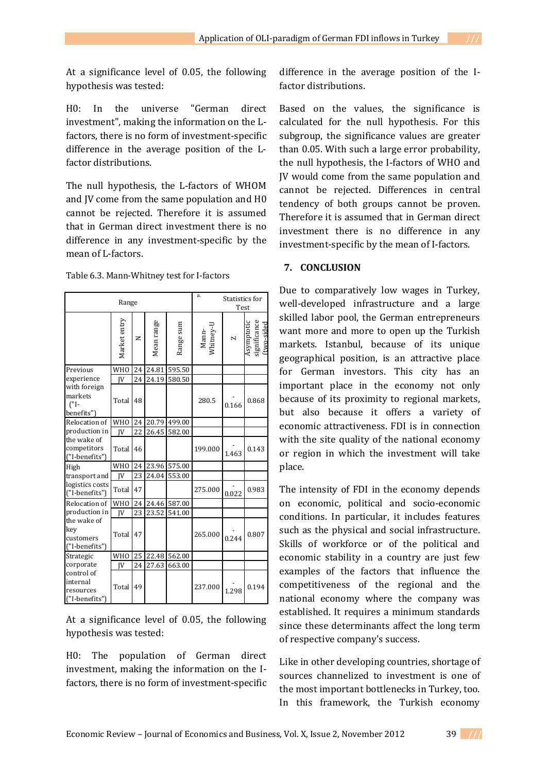At a significance level of 0.05, the following hypothesis was tested:

H0: In the universe "German direct investment", making the information on the Lfactors, there is no form of investment-specific difference in the average position of the Lfactor distributions.

The null hypothesis, the L-factors of WHOM and JV come from the same population and H0 cannot be rejected. Therefore it is assumed that in German direct investment there is no difference in any investment-specific by the mean of L-factors.

Table 6.3. Mann-Whitney test for I-factors

| Range                                                |                 |    |            | a.<br>Statistics for<br>Test |                    |                          |                                          |
|------------------------------------------------------|-----------------|----|------------|------------------------------|--------------------|--------------------------|------------------------------------------|
|                                                      | Market entry    | z  | Mean range | Range sum                    | Mann-<br>Whitney-U | $\overline{\phantom{0}}$ | Asymptotic<br>significance<br>ftwo-sided |
| Previous                                             | WH <sub>0</sub> | 24 | 24.81      | 595.50                       |                    |                          |                                          |
| experience                                           | IV              | 24 | 24.19      | 580.50                       |                    |                          |                                          |
| with foreign<br>markets<br>$\Gamma$ -<br>benefits")  | Total           | 48 |            |                              | 280.5              | 0.166                    | 0.868                                    |
| Relocation of                                        | <b>WHO</b>      | 24 | 20.79      | 499.00                       |                    |                          |                                          |
| production in                                        | IV              | 22 | 26.45      | 582.00                       |                    |                          |                                          |
| the wake of<br>competitors<br>("I-benefits")         | Total           | 46 |            |                              | 199.000            | 1.463                    | 0.143                                    |
| High                                                 | <b>WHO</b>      | 24 | 23.96      | 575.00                       |                    |                          |                                          |
| transport and                                        | IV              | 23 |            | 24.04 553.00                 |                    |                          |                                          |
| logistics costs<br>("I-benefits")                    | Total           | 47 |            |                              | 275.000            | 0.022                    | 0.983                                    |
| Relocation of                                        | <b>WHO</b>      | 24 | 24.46      | 587.00                       |                    |                          |                                          |
| production in                                        | IV              | 23 | 23.52      | 541.00                       |                    |                          |                                          |
| the wake of<br>kev<br>customers<br>("I-benefits")    | Total           | 47 |            |                              | 265.000            | 0.244                    | 0.807                                    |
| Strategic                                            | <b>WHO</b>      | 25 |            | 22.48 562.00                 |                    |                          |                                          |
| corporate                                            | IV              | 24 | 27.63      | 663.00                       |                    |                          |                                          |
| control of<br>internal<br>resources<br>f"I-benefits" | Total           | 49 |            |                              | 237.000            | 1.298                    | 0.194                                    |

At a significance level of 0.05, the following hypothesis was tested:

H0: The population of German direct investment, making the information on the Ifactors, there is no form of investment-specific

difference in the average position of the Ifactor distributions.

Based on the values, the significance is calculated for the null hypothesis. For this subgroup, the significance values are greater than 0.05. With such a large error probability, the null hypothesis, the I-factors of WHO and JV would come from the same population and cannot be rejected. Differences in central tendency of both groups cannot be proven. Therefore it is assumed that in German direct investment there is no difference in any investment-specific by the mean of I-factors.

#### **7. CONCLUSION**

Due to comparatively low wages in Turkey, well-developed infrastructure and a large skilled labor pool, the German entrepreneurs want more and more to open up the Turkish markets. Istanbul, because of its unique geographical position, is an attractive place for German investors. This city has an important place in the economy not only because of its proximity to regional markets, but also because it offers a variety of economic attractiveness. FDI is in connection with the site quality of the national economy or region in which the investment will take place.

The intensity of FDI in the economy depends on economic, political and socio-economic conditions. In particular, it includes features such as the physical and social infrastructure. Skills of workforce or of the political and economic stability in a country are just few examples of the factors that influence the competitiveness of the regional and the national economy where the company was established. It requires a minimum standards since these determinants affect the long term of respective company's success.

Like in other developing countries, shortage of sources channelized to investment is one of the most important bottlenecks in Turkey, too. In this framework, the Turkish economy